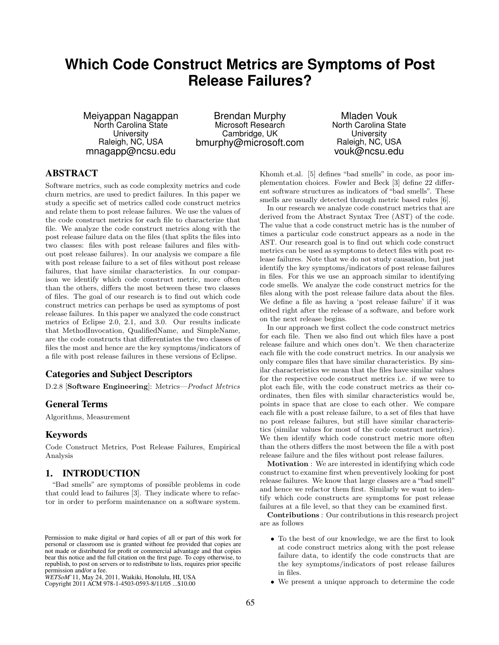# **Which Code Construct Metrics are Symptoms of Post Release Failures?**

Meiyappan Nagappan North Carolina State **University** Raleigh, NC, USA mnagapp@ncsu.edu

Brendan Murphy Microsoft Research Cambridge, UK bmurphy@microsoft.com

Mladen Vouk North Carolina State **University** Raleigh, NC, USA vouk@ncsu.edu

## ABSTRACT

Software metrics, such as code complexity metrics and code churn metrics, are used to predict failures. In this paper we study a specific set of metrics called code construct metrics and relate them to post release failures. We use the values of the code construct metrics for each file to characterize that file. We analyze the code construct metrics along with the post release failure data on the files (that splits the files into two classes: files with post release failures and files without post release failures). In our analysis we compare a file with post release failure to a set of files without post release failures, that have similar characteristics. In our comparison we identify which code construct metric, more often than the others, differs the most between these two classes of files. The goal of our research is to find out which code construct metrics can perhaps be used as symptoms of post release failures. In this paper we analyzed the code construct metrics of Eclipse 2.0, 2.1, and 3.0. Our results indicate that MethodInvocation, QualifiedName, and SimpleName, are the code constructs that differentiates the two classes of files the most and hence are the key symptoms/indicators of a file with post release failures in these versions of Eclipse.

### Categories and Subject Descriptors

D.2.8 [Software Engineering]: Metrics—Product Metrics

### General Terms

Algorithms, Measurement

### Keywords

Code Construct Metrics, Post Release Failures, Empirical Analysis

### 1. INTRODUCTION

"Bad smells" are symptoms of possible problems in code that could lead to failures [3]. They indicate where to refactor in order to perform maintenance on a software system.

Copyright 2011 ACM 978-1-4503-0593-8/11/05 ...\$10.00. Copyright 2011 ACM 978-1-4503-0593-8/11/05 ...\$10.00

Khomh et.al. [5] defines "bad smells" in code, as poor implementation choices. Fowler and Beck [3] define 22 different software structures as indicators of "bad smells". These smells are usually detected through metric based rules [6].

In our research we analyze code construct metrics that are derived from the Abstract Syntax Tree (AST) of the code. The value that a code construct metric has is the number of times a particular code construct appears as a node in the AST. Our research goal is to find out which code construct metrics can be used as symptoms to detect files with post release failures. Note that we do not study causation, but just identify the key symptoms/indicators of post release failures in files. For this we use an approach similar to identifying code smells. We analyze the code construct metrics for the files along with the post release failure data about the files. We define a file as having a 'post release failure' if it was edited right after the release of a software, and before work on the next release begins.

In our approach we first collect the code construct metrics for each file. Then we also find out which files have a post release failure and which ones don't. We then characterize each file with the code construct metrics. In our analysis we only compare files that have similar characteristics. By similar characteristics we mean that the files have similar values for the respective code construct metrics i.e. if we were to plot each file, with the code construct metrics as their coordinates, then files with similar characteristics would be, points in space that are close to each other. We compare each file with a post release failure, to a set of files that have no post release failures, but still have similar characteristics (similar values for most of the code construct metrics). We then identify which code construct metric more often than the others differs the most between the file a with post release failure and the files without post release failures.

Motivation : We are interested in identifying which code construct to examine first when preventively looking for post release failures. We know that large classes are a "bad smell" and hence we refactor them first. Similarly we want to identify which code constructs are symptoms for post release failures at a file level, so that they can be examined first.

Contributions : Our contributions in this research project are as follows

- To the best of our knowledge, we are the first to look at code construct metrics along with the post release failure data, to identify the code constructs that are the key symptoms/indicators of post release failures in files. Fermission to make digital or hard copies of all or part of this work for<br>
personal or classroom use is granted without fee provided that copies are<br>
not made or distributed for profit or commercial advantage and that copi
	-

Permission to make digital or hard copies of all or part of this work for personal or classroom use is granted without fee provided that copies are personal or classroom use is granted without fee provided that copies are not made or distributed for profit or commercial advantage and that copies not made or distributed for profit or commercial advantage and that copies bear this notice and the full citation on the first page. To copy otherwise, to bear this notice and the full citation on the first page. To copy otherwise, to republish, to post on servers or to redistribute to lists, requires prior specific republish, to post on servers or to redistribute to lists, requires prior specific permission and/or a fee.

*WETSoM* '11, May 24, 2011, Waikiki, Honolulu, HI, USA permission and/or a fee. *WETSoM*'11, May 24, 2011, Waikiki, Honolulu, HI, USA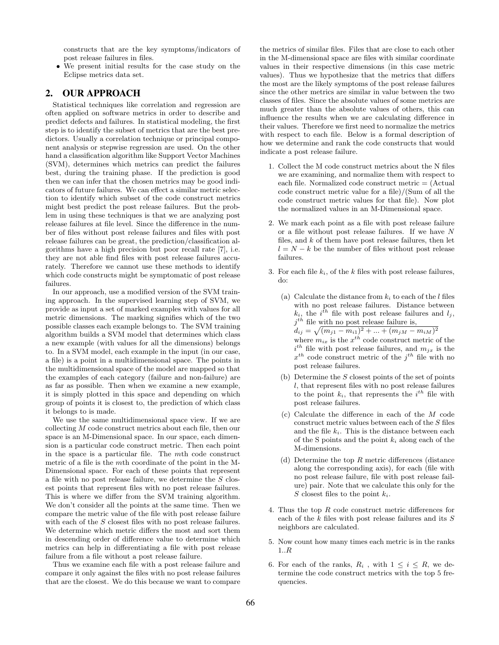constructs that are the key symptoms/indicators of post release failures in files.

• We present initial results for the case study on the Eclipse metrics data set.

# 2. OUR APPROACH

Statistical techniques like correlation and regression are often applied on software metrics in order to describe and predict defects and failures. In statistical modeling, the first step is to identify the subset of metrics that are the best predictors. Usually a correlation technique or principal component analysis or stepwise regression are used. On the other hand a classification algorithm like Support Vector Machines (SVM), determines which metrics can predict the failures best, during the training phase. If the prediction is good then we can infer that the chosen metrics may be good indicators of future failures. We can effect a similar metric selection to identify which subset of the code construct metrics might best predict the post release failures. But the problem in using these techniques is that we are analyzing post release failures at file level. Since the difference in the number of files without post release failures and files with post release failures can be great, the prediction/classification algorithms have a high precision but poor recall rate [7], i.e. they are not able find files with post release failures accurately. Therefore we cannot use these methods to identify which code constructs might be symptomatic of post release failures.

In our approach, use a modified version of the SVM training approach. In the supervised learning step of SVM, we provide as input a set of marked examples with values for all metric dimensions. The marking signifies which of the two possible classes each example belongs to. The SVM training algorithm builds a SVM model that determines which class a new example (with values for all the dimensions) belongs to. In a SVM model, each example in the input (in our case, a file) is a point in a multidimensional space. The points in the multidimensional space of the model are mapped so that the examples of each category (failure and non-failure) are as far as possible. Then when we examine a new example, it is simply plotted in this space and depending on which group of points it is closest to, the prediction of which class it belongs to is made.

We use the same multidimensional space view. If we are collecting M code construct metrics about each file, then our space is an M-Dimensional space. In our space, each dimension is a particular code construct metric. Then each point in the space is a particular file. The mth code construct metric of a file is the mth coordinate of the point in the M-Dimensional space. For each of these points that represent a file with no post release failure, we determine the S closest points that represent files with no post release failures. This is where we differ from the SVM training algorithm. We don't consider all the points at the same time. Then we compare the metric value of the file with post release failure with each of the S closest files with no post release failures. We determine which metric differs the most and sort them in descending order of difference value to determine which metrics can help in differentiating a file with post release failure from a file without a post release failure.

Thus we examine each file with a post release failure and compare it only against the files with no post release failures that are the closest. We do this because we want to compare the metrics of similar files. Files that are close to each other in the M-dimensional space are files with similar coordinate values in their respective dimensions (in this case metric values). Thus we hypothesize that the metrics that differs the most are the likely symptoms of the post release failures since the other metrics are similar in value between the two classes of files. Since the absolute values of some metrics are much greater than the absolute values of others, this can influence the results when we are calculating difference in their values. Therefore we first need to normalize the metrics with respect to each file. Below is a formal description of how we determine and rank the code constructs that would indicate a post release failure.

- 1. Collect the M code construct metrics about the N files we are examining, and normalize them with respect to each file. Normalized code construct metric = (Actual code construct metric value for a file)/(Sum of all the code construct metric values for that file). Now plot the normalized values in an M-Dimensional space.
- 2. We mark each point as a file with post release failure or a file without post release failures. If we have  $N$ files, and  $k$  of them have post release failures, then let  $l = N - k$  be the number of files without post release failures.
- 3. For each file  $k_i$ , of the k files with post release failures, do:
	- (a) Calculate the distance from  $k_i$  to each of the l files with no post release failures. Distance between  $k_i$ , the i<sup>th</sup> file with post release failures and  $l_j$ ,  $j<sup>th</sup>$  file with no post release failure is,  $d_{ij} = \sqrt{(m_{j1} - m_{i1})^2 + ... + (m_{jM} - m_{iM})^2}$ where  $m_{ix}$  is the  $x^{th}$  code construct metric of the  $i^{th}$  file with post release failures, and  $m_{jx}$  is the  $x^{th}$  code construct metric of the  $j^{th}$  file with no post release failures.
	- (b) Determine the  $S$  closest points of the set of points l, that represent files with no post release failures to the point  $k_i$ , that represents the  $i^{th}$  file with post release failures.
	- (c) Calculate the difference in each of the M code construct metric values between each of the S files and the file  $k_i$ . This is the distance between each of the S points and the point  $k_i$  along each of the M-dimensions.
	- (d) Determine the top  $R$  metric differences (distance along the corresponding axis), for each (file with no post release failure, file with post release failure) pair. Note that we calculate this only for the S closest files to the point  $k_i$ .
- 4. Thus the top R code construct metric differences for each of the  $k$  files with post release failures and its  $S$ neighbors are calculated.
- 5. Now count how many times each metric is in the ranks 1..R
- 6. For each of the ranks,  $R_i$ , with  $1 \leq i \leq R$ , we determine the code construct metrics with the top 5 frequencies.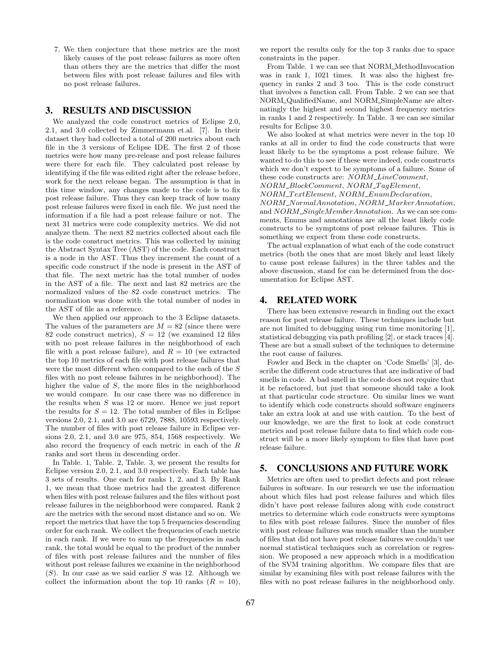7. We then conjecture that these metrics are the most likely causes of the post release failures as more often than others they are the metrics that differ the most between files with post release failures and files with no post release failures.

### 3. RESULTS AND DISCUSSION

We analyzed the code construct metrics of Eclipse 2.0, 2.1, and 3.0 collected by Zimmermann et.al. [7]. In their dataset they had collected a total of 200 metrics about each file in the 3 versions of Eclipse IDE. The first 2 of those metrics were how many pre-release and post release failures were there for each file. They calculated post release by identifying if the file was edited right after the release before, work for the next release began. The assumption is that in this time window, any changes made to the code is to fix post release failure. Thus they can keep track of how many post release failures were fixed in each file. We just need the information if a file had a post release failure or not. The next 31 metrics were code complexity metrics. We did not analyze them. The next 82 metrics collected about each file is the code construct metrics. This was collected by mining the Abstract Syntax Tree (AST) of the code. Each construct is a node in the AST. Thus they increment the count of a specific code construct if the node is present in the AST of that file. The next metric has the total number of nodes in the AST of a file. The next and last 82 metrics are the normalized values of the 82 code construct metrics. The normalization was done with the total number of nodes in the AST of file as a reference.

We then applied our approach to the 3 Eclipse datasets. The values of the parameters are  $M = 82$  (since there were 82 code construct metrics),  $S = 12$  (we examined 12 files with no post release failures in the neighborhood of each file with a post release failure), and  $R = 10$  (we extracted the top 10 metrics of each file with post release failures that were the most different when compared to the each of the S files with no post release failures in he neighborhood). The higher the value of S, the more files in the neighborhood we would compare. In our case there was no difference in the results when S was 12 or more. Hence we just report the results for  $S = 12$ . The total number of files in Eclipse versions 2.0, 2.1, and 3.0 are 6729, 7888, 10593 respectively. The number of files with post release failure in Eclipse versions 2.0, 2.1, and 3.0 are 975, 854, 1568 respectively. We also record the frequency of each metric in each of the R ranks and sort them in descending order.

In Table. 1, Table. 2, Table. 3, we present the results for Eclipse version 2.0, 2.1, and 3.0 respectively. Each table has 3 sets of results. One each for ranks 1, 2, and 3. By Rank 1, we mean that those metrics had the greatest difference when files with post release failures and the files without post release failures in the neighborhood were compared. Rank 2 are the metrics with the second most distance and so on. We report the metrics that have the top 5 frequencies descending order for each rank. We collect the frequencies of each metric in each rank. If we were to sum up the frequencies in each rank, the total would be equal to the product of the number of files with post release failures and the number of files without post release failures we examine in the neighborhood  $(S)$ . In our case as we said earlier S was 12. Although we collect the information about the top 10 ranks  $(R = 10)$ ,

we report the results only for the top 3 ranks due to space constraints in the paper.

From Table. 1 we can see that NORM\_MethodInvocation was in rank 1, 1021 times. It was also the highest frequency in ranks 2 and 3 too. This is the code construct that involves a function call. From Table. 2 we can see that NORM QualifiedName, and NORM SimpleName are alternatingly the highest and second highest frequency metrics in ranks 1 and 2 respectively. In Table. 3 we can see similar results for Eclipse 3.0.

We also looked at what metrics were never in the top 10 ranks at all in order to find the code constructs that were least likely to be the symptoms a post release failure. We wanted to do this to see if these were indeed, code constructs which we don't expect to be symptoms of a failure. Some of these code constructs are:  $NORM\_LineComment$ , NORM BlockComment, NORM T agElement,

 $NORM\_TextElement$ ,  $NORM\_Enum Declaration$ ,

NORM NormalAnnotation, NORM MarkerAnnotation, and  $NORM\_SingleMemberAnnotation$ . As we can see comments, Enums and annotations are all the least likely code constructs to be symptoms of post release failures. This is something we expect from these code constructs.

The actual explanation of what each of the code construct metrics (both the ones that are most likely and least likely to cause post release failures) in the three tables and the above discussion, stand for can be determined from the documentation for Eclipse AST.

# 4. RELATED WORK

There has been extensive research in finding out the exact reason for post release failure. These techniques include but are not limited to debugging using run time monitoring [1], statistical debugging via path profiling [2], or stack traces [4]. These are but a small subset of the techniques to determine the root cause of failures.

Fowler and Beck in the chapter on 'Code Smells' [3], describe the different code structures that are indicative of bad smells in code. A bad smell in the code does not require that it be refactored, but just that someone should take a look at that particular code structure. On similar lines we want to identify which code constructs should software engineers take an extra look at and use with caution. To the best of our knowledge, we are the first to look at code construct metrics and post release failure data to find which code construct will be a more likely symptom to files that have post release failure.

## 5. CONCLUSIONS AND FUTURE WORK

Metrics are often used to predict defects and post release failures in software. In our research we use the information about which files had post release failures and which files didn't have post release failures along with code construct metrics to determine which code constructs were symptoms to files with post release failures. Since the number of files with post release failures was much smaller than the number of files that did not have post release failures we couldn't use normal statistical techniques such as correlation or regression. We proposed a new approach which is a modification of the SVM training algorithm. We compare files that are similar by examining files with post release failures with the files with no post release failures in the neighborhood only.